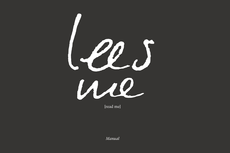

[read me]

*Manual*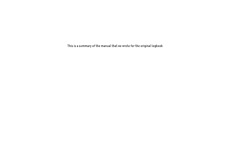This is a summary of the manual that we wrote for the original logbook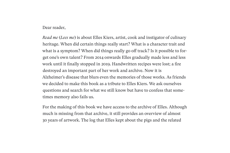#### Dear reader,

*Read me* (*Lees me*) is about Elles Kiers, artist, cook and instigator of culinary heritage. When did certain things really start? What is a character trait and what is a symptom? When did things really go off track? Is it possible to forget one's own talent? From 2014 onwards Elles gradually made less and less work until it finally stopped in 2019. Handwritten recipes were lost; a fire destroyed an important part of her work and archive. Now it is Alzheimer's disease that blurs even the memories of those works. As friends we decided to make this book as a tribute to Elles Kiers. We ask ourselves questions and search for what we still know but have to confess that sometimes memory also fails us.

For the making of this book we have access to the archive of Elles. Although much is missing from that archive, it still provides an overview of almost 30 years of artwork. The log that Elles kept about the pigs and the related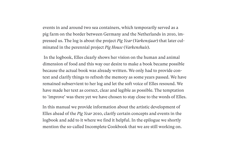events in and around two sea containers, which temporarily served as a pig farm on the border between Germany and the Netherlands in 2010, impressed us. The log is about the project *Pig Year* (*Varkensjaar*) that later culminated in the perennial project *Pig House* (*Varkenshuis*).

 In the logbook, Elles clearly shows her vision on the human and animal dimension of food and this way our desire to make a book became possible because the actual book was already written. We only had to provide context and clarify things to refresh the memory as some years passed. We have remained subservient to her log and let the soft voice of Elles resound. We have made her text as correct, clear and legible as possible. The temptation to 'improve' was there yet we have chosen to stay close to the words of Elles.

In this manual we provide information about the artistic development of Elles ahead of the *Pig Year* 2010, clarify certain concepts and events in the logbook and add to it where we find it helpful. In the epilogue we shortly mention the so-called Incomplete Cookbook that we are still working on.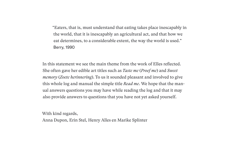"Eaters, that is, must understand that eating takes place inescapably in the world, that it is inescapably an agricultural act, and that how we eat determines, to a considerable extent, the way the world is used." Berry, 1990

In this statement we see the main theme from the work of Elles reflected. She often gave her edible art titles such as *Taste me* (*Proef me*) and *Sweet memory* (*Zoete herinnering*). To us it sounded pleasant and involved to give this whole log and manual the simple title *Read me*. We hope that the manual answers questions you may have while reading the log and that it may also provide answers to questions that you have not yet asked yourself.

With kind regards, Anna Dupon, Erin Stel, Henry Alles en Marike Splinter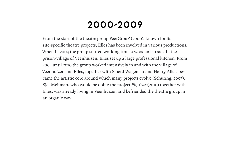#### 2000-2009

From the start of the theatre group PeerGrouP (2000), known for its site-specific theatre projects, Elles has been involved in various productions. When in 2004 the group started working from a wooden barrack in the prison-village of Veenhuizen, Elles set up a large professional kitchen. From 2004 until 2010 the group worked intensively in and with the village of Veenhuizen and Elles, together with Sjoerd Wagenaar and Henry Alles, became the artistic core around which many projects evolve (Schuring, 2007). Sjef Meijman, who would be doing the project *Pig Year* (2010) together with Elles, was already living in Veenhuizen and befriended the theatre group in an organic way.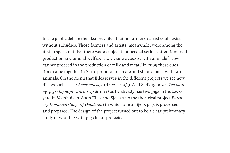In the public debate the idea prevailed that no farmer or artist could exist without subsidies. Those farmers and artists, meanwhile, were among the first to speak out that there was a subject that needed serious attention: food production and animal welfare. How can we coexist with animals? How can we proceed in the production of milk and meat? In 2009 these questions came together in Sjef's proposal to create and share a meal with farm animals. On the menu that Elles serves in the different projects we see new dishes such as the *Amer-sausage* (*Amerworstje*). And Sjef organizes *Tea with my pigs* (*Bij mijn varkens op de thee*) as he already has two pigs in his backyard in Veenhuizen. Soon Elles and Sjef set up the theatrical project *Butchery Donderen* (*Slagerij Donderen*) in which one of Sjef's pigs is processed and prepared. The design of the project turned out to be a clear preliminary study of working with pigs in art projects.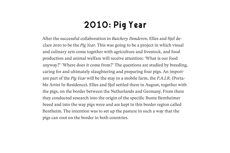#### 2010: Pig Year

After the successful collaboration in *Butchery Donderen*, Elles and Sjef declare 2010 to be the *Pig Year*. This was going to be a project in which visual and culinary arts come together with agriculture and livestock, and food production and animal welfare will receive attention: 'What is our food anyway?' 'Where does it come from?' The questions are studied by breeding, caring for and ultimately slaughtering and preparing four pigs. An important part of the *Pig Year* will be the stay in a mobile farm, the *P.A.I.R.* (Portable Artist In Residence). Elles and Sjef settled there in August, together with the pigs, on the border between the Netherlands and Germany. From there they conducted research into the origin of the specific Bunte Bentheimer breed and into the way pigs were and are kept in this border region called Bentheim. The intention was to set up the pasture in such a way that the pigs can root on the border in both countries.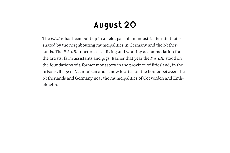## August 20

The *P.A.I.R* has been built up in a field, part of an industrial terrain that is shared by the neighbouring municipalities in Germany and the Netherlands. The *P.A.I.R.* functions as a living and working accommodation for the artists, farm assistants and pigs. Earlier that year the *P.A.I.R.* stood on the foundations of a former monastery in the province of Friesland, in the prison-village of Veenhuizen and is now located on the border between the Netherlands and Germany near the municipalities of Coevorden and Emlichheim.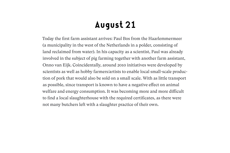## August 21

Today the first farm assistant arrives: Paul Bos from the Haarlemmermeer (a municipality in the west of the Netherlands in a polder, consisting of land reclaimed from water). In his capacity as a scientist, Paul was already involved in the subject of pig farming together with another farm assistant, Onno van Eijk. Coincidentally, around 2010 initiatives were developed by scientists as well as hobby farmers/artists to enable local small-scale production of pork that would also be sold on a small scale. With as little transport as possible, since transport is known to have a negative effect on animal welfare and energy consumption. It was becoming more and more difficult to find a local slaughterhouse with the required certificates, as there were not many butchers left with a slaughter practice of their own.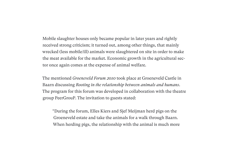Mobile slaughter houses only became popular in later years and rightly received strong criticism; it turned out, among other things, that mainly wrecked (less mobile/ill) animals were slaughtered on site in order to make the meat available for the market. Economic growth in the agricultural sector once again comes at the expense of animal welfare.

The mentioned *Groeneveld Forum 2010* took place at Groeneveld Castle in Baarn discussing *Rooting in the relationship between animals and humans*. The program for this forum was developed in collaboration with the theatre group PeerGrouP. The invitation to guests stated:

"During the forum, Elles Kiers and Sjef Meijman herd pigs on the Groeneveld estate and take the animals for a walk through Baarn. When herding pigs, the relationship with the animal is much more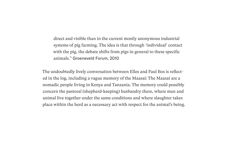direct and visible than in the current mostly anonymous industrial systems of pig farming. The idea is that through 'individual' contact with the pig, the debate shifts from pigs in general to these specific animals." Groeneveld Forum, 2010

The undoubtedly lively conversation between Elles and Paul Bos is reflected in the log, including a vague memory of the Maasai: The Maasai are a nomadic people living in Kenya and Tanzania. The memory could possibly concern the pastoral (shepherd-keeping) husbandry there, where man and animal live together under the same conditions and where slaughter takes place within the herd as a necessary act with respect for the animal's being.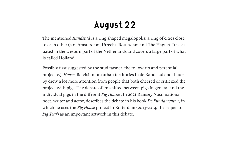## August 22

The mentioned *Randstad* is a ring shaped megalopolis: a ring of cities close to each other (a.o. Amsterdam, Utrecht, Rotterdam and The Hague). It is situated in the western part of the Netherlands and covers a large part of what is called Holland.

Possibly first suggested by the stud farmer, the follow-up and perennial project *Pig House* did visit more urban territories in de Randstad and thereby drew a lot more attention from people that both cheered or criticized the project with pigs. The debate often shifted between pigs in general and the individual pigs in the different *Pig Houses*. In 2021 Ramsey Nasr, national poet, writer and actor, describes the debate in his book *De Fundamenten*, in which he uses the *Pig House* project in Rotterdam (2013-2014, the sequel to *Pig Year*) as an important artwork in this debate.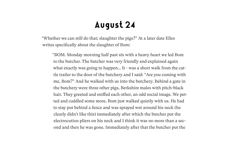#### August 24

"Whether we can still do that; slaughter the pigs?" At a later date Elles writes specifically about the slaughter of Bom:

"BOM. Monday morning half past six with a heavy heart we led Bom to the butcher. The butcher was very friendly and explained again what exactly was going to happen... It - was a short walk from the cattle trailer to the door of the butchery and I said: "Are you coming with me, Bom?" And he walked with us into the butchery. Behind a gate in the butchery were three other pigs, Berkshire males with pitch-black hair. They greeted and sniffed each other, an odd social image. We petted and cuddled some more, Bom just walked quietly with us. He had to stay put behind a fence and was sprayed wet around his neck (he clearly didn't like this) immediately after which the butcher put the electrocution pliers on his neck and I think it was no more than a second and then he was gone. Immediately after that the butcher put the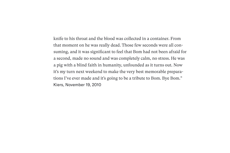knife to his throat and the blood was collected in a container. From that moment on he was really dead. Those few seconds were all consuming, and it was significant to feel that Bom had not been afraid for a second, made no sound and was completely calm, no stress. He was a pig with a blind faith in humanity, unfounded as it turns out. Now it's my turn next weekend to make the very best memorable preparations I've ever made and it's going to be a tribute to Bom. Bye Bom." Kiers, November 19, 2010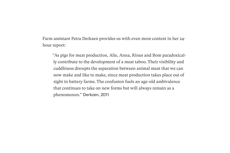Farm assistant Petra Derkzen provides us with even more context in her 24 hour report:

"As pigs for meat production, Alie, Anna, Rinus and Bom paradoxically contribute to the development of a meat taboo. Their visibility and cuddliness disrupts the separation between animal meat that we can now make and like to make, since meat production takes place out of sight in battery farms. The confusion fuels an age-old ambivalence that continues to take on new forms but will always remain as a phenomenon." Derkzen, 2011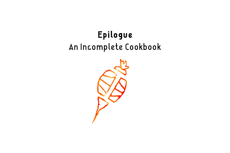# An Incomplete Cookbook Epilogue

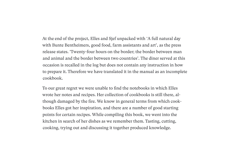At the end of the project, Elles and Sjef unpacked with 'A full natural day with Bunte Bentheimers, good food, farm assistants and art', as the press release states. 'Twenty-four hours on the border; the border between man and animal and the border between two countries'. The diner served at this occasion is recalled in the log but does not contain any instruction in how to prepare it. Therefore we have translated it in the manual as an incomplete cookbook.

To our great regret we were unable to find the notebooks in which Elles wrote her notes and recipes. Her collection of cookbooks is still there, although damaged by the fire. We know in general terms from which cookbooks Elles got her inspiration, and there are a number of good starting points for certain recipes. While compiling this book, we went into the kitchen in search of her dishes as we remember them. Tasting, cutting, cooking, trying out and discussing it together produced knowledge.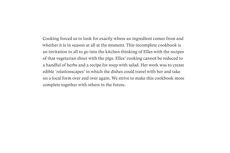Cooking forced us to look for exactly where an ingredient comes from and whether it is in season at all at the moment. This incomplete cookbook is an invitation to all to go into the kitchen thinking of Elles with the recipes of that vegetarian diner with the pigs. Elles' cooking cannot be reduced to a handful of herbs and a recipe for soup with salad. Her work was to create edible 'relationscapes' in which the dishes could travel with her and take on a local form over and over again. We strive to make this cookbook more complete together with others in the future.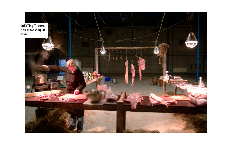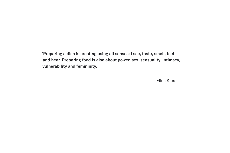'Preparing a dish is creating using all senses: I see, taste, smell, feel and hear. Preparing food is also about power, sex, sensuality, intimacy, vulnerability and femininity.

Elles Kiers